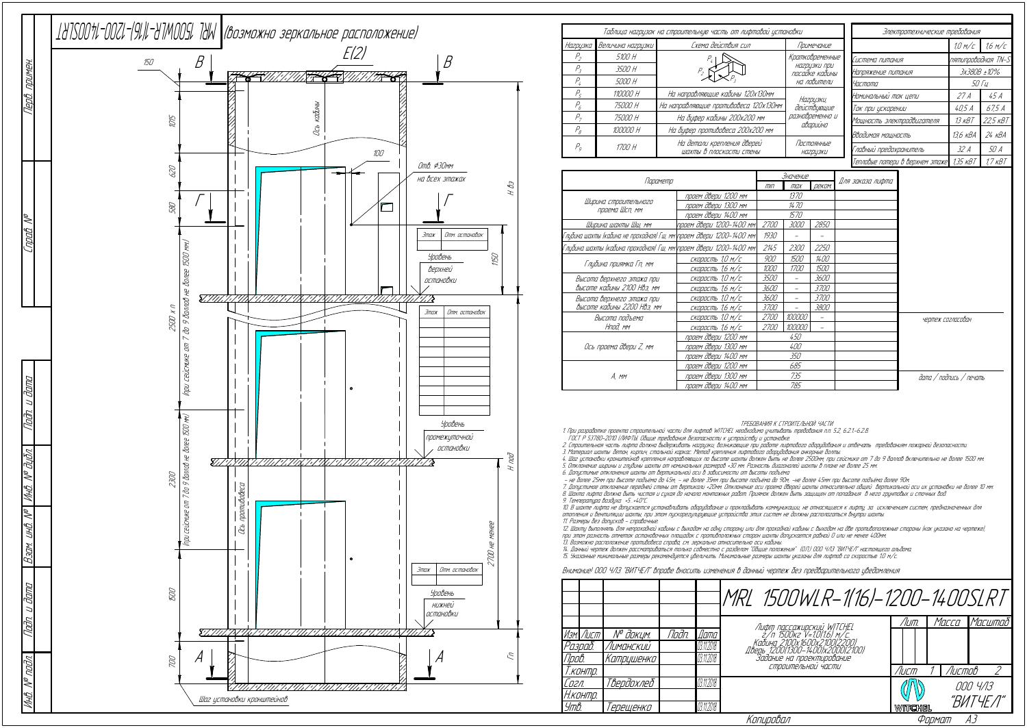| Параметр                                                            |                          |             | Значение    |               |                  |
|---------------------------------------------------------------------|--------------------------|-------------|-------------|---------------|------------------|
|                                                                     |                          |             | max         | <b>ДЕКОМ.</b> | Для заказа лифта |
|                                                                     | проем двери 1200 мм      |             | 1370        |               |                  |
| Ширина строительного<br>проема Шсп, мм                              | проем двери 1300 мм      | 1470        |             |               |                  |
|                                                                     | проем двери 1400 мм      |             | 1570        |               |                  |
| Ширина шахты Шш, мм                                                 | проем двери 1200-1400 мм | 2700        | <i>3000</i> | 2850          |                  |
| Глубина шахты (кабина не проходная) Гш, мм\проем двери 1200–1400 мм |                          | 1930        |             |               |                  |
| Глубина шахты (кабина проходная) Гш, мм\проем двери 1200–1400 мм    |                          | 2145        | <i>2300</i> | 2250          |                  |
|                                                                     | скорость 1,0 м/с         | 900         | <i>1500</i> | 1400          |                  |
| Глубина приямка Гп, мм                                              | скорость 1,6 м/с         | 1000        | <i>1700</i> | 1500          |                  |
| Высота верхнего этажа при                                           | скорость 1,0 м/с         | <i>3500</i> |             | 3600          |                  |
| высоте кабины 2100 Нвэ, мм                                          | скорость 1,6 м/с         | 3600        |             | <i>3700</i>   |                  |
| Высота верхнего этажа при                                           | скорость 1,0 м/с         | 3600        |             | <i>3700</i>   |                  |
| высоте кабины 2200 Нвэ, мм                                          | скорость 1,6 м/с         | <i>3700</i> |             | <i>3800</i>   |                  |
| Высота подъема                                                      | скорость 1,0 м/с         | <i>2700</i> | 100000      |               |                  |
| Нпод. мм                                                            | скорость 1,6 м/с         | <i>2700</i> | 100000      |               |                  |
|                                                                     | проем двери 1200 мм      | 450         |             |               |                  |
| Ось проема двери Z, мм                                              | проем двери 1300 мм      | 400         |             |               |                  |
|                                                                     | проем двери 1400 мм      | 350         |             |               |                  |
|                                                                     | проем двери 1200 мм      | 685         |             |               |                  |
| A, mm                                                               | проем двери 1300 мм      |             | 735         |               |                  |
|                                                                     | проем двери 1400 мм      |             | 785         |               |                  |

4. Шаг установки кронштейнов крепления направляющих по высоте шахты должен быть не более 2500мм, при сейсмике от 7 до 9 баллов включительно не более 1500 мм 5. Отклонение ширины <sup>и</sup> глубины шахты от номинальных размеров +30 мм. Разность диагоналей шахты в плане не более 25 мм.

6. Допустимые отклонения шахты от вертикальной оси в зависимости от высоты подъёма:<br>– не более 25мм при высоте подъёма до 45м; – не более 35мм при высоте подъёма до 90м; –не более 45мм при высоте подъёма более 90м

ТРЕБОВАНИЯ К СТРОИТЕЛЬНОЙ ЧАСТИ

1. При разработке проекта строительной части для лифтов WITCHEL необходимо учитывать требования <sup>п</sup>.п. 5.2, 6.2.1.-6.2.8. ГОСТ Р 53780-2010 (ЛИФТЫ. Общие требования безопасности <sup>к</sup> устройству <sup>и</sup> установке.

7. Допустимое отклонение передней стены от вертикали +20мм. Отклонение оси проема дверей шахты относительно общей бертикальной оси их установки не более 10 мм. 8. Шахта лифта должна быть чистая <sup>и</sup> сухая до начала монтажных работ. Приямок должен быть защищен от попадания в него грунтовых <sup>и</sup> сточных вод.

2. Строительная часть лифта должна выдерживать нагрузки, возникающие при работе лифтового оборудования <sup>и</sup> отвечать требованиям пожарной безопасности.

12. Шахту выполнять для непроходной кабины <sup>с</sup> выходом на одну сторону или для проходной кабины <sup>с</sup> выходом на две противоположные стороны (как указано на чертеже), при этом разность отметок остановочных площадок с противположных сторон шахты допускается равной 0 или не менее 400мм

13. Возможно расположение противовеса справа, см. зеркально относительно оси кабины.<br>14. Данный чертеж должен рассматриваться только совместно с разделом "Общие положения" (О.П.) ООО ЧЛЗ "ВИТЧЕЛ" настоящего альбома.<br>15. У

3. Материал шахты: бетон, кирпич, стальной каркас. Метод крепления лифтового оборудования анкерные болты.

| Таблица нагрузок на строительную часть от лифтовой установки |                   |                                                       |     |                                                                  | Электротехнические требования |                                                |  |                    |                     |
|--------------------------------------------------------------|-------------------|-------------------------------------------------------|-----|------------------------------------------------------------------|-------------------------------|------------------------------------------------|--|--------------------|---------------------|
| Нагрузка                                                     | Величина нагрузки | Схема действия сил                                    |     | Примечание                                                       |                               |                                                |  | 1.0 M/c            | 1.6 M/C             |
| $P_{\scriptscriptstyle 2}$                                   | 5100 H            |                                                       |     | Кратковременные<br>НАГРЦЗКИ ПРИ<br>посадке кабины<br>на ловители |                               | Система питания                                |  | nятипроводная TN-S |                     |
| $P_{\rm z}$                                                  | 3500 H            |                                                       |     |                                                                  |                               | Напряжение питания                             |  | 3x380B ±10%        |                     |
| $P_{l}$                                                      | 5000 H            |                                                       |     |                                                                  |                               | Частота                                        |  | <i>50 Tu</i>       |                     |
| P <sub>5</sub>                                               | 110000 H          | На направляющие кабины 120х130мм                      |     | Нагрузки,                                                        |                               | Номинальный ток цепи                           |  | 27 A               | 45 A                |
| $P_6$                                                        | 75000 H           | На направляющие противовеса 120х130мм                 |     | действующие<br>разновременно и                                   |                               | Ток при ускорении<br>Мощность электродвигателя |  | 40,5A              | 67,5 A              |
| $P_{7}$                                                      | 75000 H           | На буфер кабины 200х200 мм                            |     |                                                                  |                               |                                                |  | 13 кВТ             | 22,5 KBT            |
| $P_{\scriptscriptstyle{B}}$                                  | 100000 H          | На буфер противовеса 200х200 мм                       |     | аварийно                                                         |                               | Вводимая мощность                              |  | 13,6 кВА           | $24 \overline{KBA}$ |
| P <sub>q</sub>                                               | 1700 H            | На детали крепления дверей<br>шахты в плоскости стены |     | Постоянные<br><b>НА2РЦЗКИ</b>                                    |                               | Главный предохранитель                         |  | 32 A               | 50 A                |
| Тепловые потери в верхнем этаже 1,35 кВТ                     |                   |                                                       |     |                                                                  |                               |                                                |  | 17KBT              |                     |
| Параметр<br>$\Box$<br>1000                                   |                   |                                                       | III | <u>Значение </u><br>реком.<br>max<br>1272                        |                               | Для заказа лифта                               |  |                    |                     |

9. Температура воздуха +5…+40°С.

10. В шахте лифта не допускается устанавливать оборудование <sup>и</sup> прокладывать коммуникации, не относящиеся <sup>к</sup> лифту, за исключением систем, предназначенных для отопления <sup>и</sup> вентиляции шахты, при этом пускорегулирующие устройства этих систем не должны располагаться внутри шахты. 11. Размеры без допусков - справочные.

|           |                       |       |               | MRL 1500WLR-1(16)-1200-1400SLRT                                                                  |         |        |          |
|-----------|-----------------------|-------|---------------|--------------------------------------------------------------------------------------------------|---------|--------|----------|
|           |                       |       |               |                                                                                                  | /ШП.    | Macca  | Масштаб  |
| Изм. Лист | N <sup>o</sup> докцм. | Noðn. | <i>[</i> ]ama | Лифт пассажирский WITCHEL<br>2/п 1500кг V=1.0(1.6) м/с.                                          |         |        |          |
| Разраб.   | Лиманский             |       | 03.11.2018    | Кабина 2100х1600х2100(2200)                                                                      |         |        |          |
| Npob.     | Катрцшенко            |       | 03.11.2018    | льсь 1200(1300-1400)x2000(2100)<br>Дверь 1200(1300-1400)x2000(2100)<br>Задание на проектирование |         |        |          |
| Т.контр.  |                       |       |               | СТООИТЕЛЬНОЙ ЧАСТИ                                                                               | Лист    | Листов |          |
| Согл.     | Твердохлеб            |       | 03.11.2018    |                                                                                                  |         |        | 000 4/13 |
| Н.контр.  |                       |       |               |                                                                                                  |         |        | "ВИТЧЕЛ" |
| Утв.      | 'ерещенко             |       | 03.11.2018    |                                                                                                  | WITCHEL |        |          |
|           |                       |       |               | Копировал                                                                                        |         | Формат | AЗ       |

## Внимание! ООО ЧЛЗ "ВИТЧЕЛ" вправе вносить изменения в данный чертеж без предварительного уведомления

дата / подпись / печать

чертеж согласован